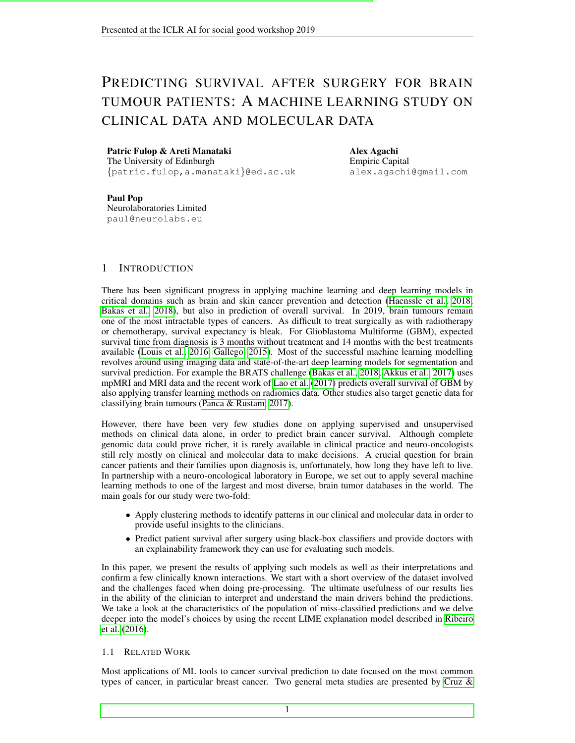# PREDICTING SURVIVAL AFTER SURGERY FOR BRAIN TUMOUR PATIENTS: A MACHINE LEARNING STUDY ON CLINICAL DATA AND MOLECULAR DATA

#### Patric Fulop & Areti Manataki

The University of Edinburgh {patric.fulop,a.manataki}@ed.ac.uk Alex Agachi Empiric Capital alex.agachi@gmail.com

Paul Pop Neurolaboratories Limited paul@neurolabs.eu

## 1 INTRODUCTION

There has been significant progress in applying machine learning and deep learning models in critical domains such as brain and skin cancer prevention and detection [\(Haenssle et al., 2018;](#page-4-0) [Bakas et al., 2018\)](#page-4-1), but also in prediction of overall survival. In 2019, brain tumours remain one of the most intractable types of cancers. As difficult to treat surgically as with radiotherapy or chemotherapy, survival expectancy is bleak. For Glioblastoma Multiforme (GBM), expected survival time from diagnosis is 3 months without treatment and 14 months with the best treatments available [\(Louis et al., 2016;](#page-4-2) [Gallego, 2015\)](#page-4-3). Most of the successful machine learning modelling revolves around using imaging data and state-of-the-art deep learning models for segmentation and survival prediction. For example the BRATS challenge [\(Bakas et al., 2018;](#page-4-1) [Akkus et al., 2017\)](#page-4-4) uses mpMRI and MRI data and the recent work of [Lao et al.](#page-4-5) [\(2017\)](#page-4-5) predicts overall survival of GBM by also applying transfer learning methods on radiomics data. Other studies also target genetic data for classifying brain tumours [\(Panca & Rustam, 2017\)](#page-4-6).

However, there have been very few studies done on applying supervised and unsupervised methods on clinical data alone, in order to predict brain cancer survival. Although complete genomic data could prove richer, it is rarely available in clinical practice and neuro-oncologists still rely mostly on clinical and molecular data to make decisions. A crucial question for brain cancer patients and their families upon diagnosis is, unfortunately, how long they have left to live. In partnership with a neuro-oncological laboratory in Europe, we set out to apply several machine learning methods to one of the largest and most diverse, brain tumor databases in the world. The main goals for our study were two-fold:

- Apply clustering methods to identify patterns in our clinical and molecular data in order to provide useful insights to the clinicians.
- Predict patient survival after surgery using black-box classifiers and provide doctors with an explainability framework they can use for evaluating such models.

In this paper, we present the results of applying such models as well as their interpretations and confirm a few clinically known interactions. We start with a short overview of the dataset involved and the challenges faced when doing pre-processing. The ultimate usefulness of our results lies in the ability of the clinician to interpret and understand the main drivers behind the predictions. We take a look at the characteristics of the population of miss-classified predictions and we delve deeper into the model's choices by using the recent LIME explanation model described in [Ribeiro](#page-5-0) [et al.](#page-5-0) [\(2016\)](#page-5-0).

### 1.1 RELATED WORK

Most applications of ML tools to cancer survival prediction to date focused on the most common types of cancer, in particular breast cancer. Two general meta studies are presented by [Cruz &](#page-4-7)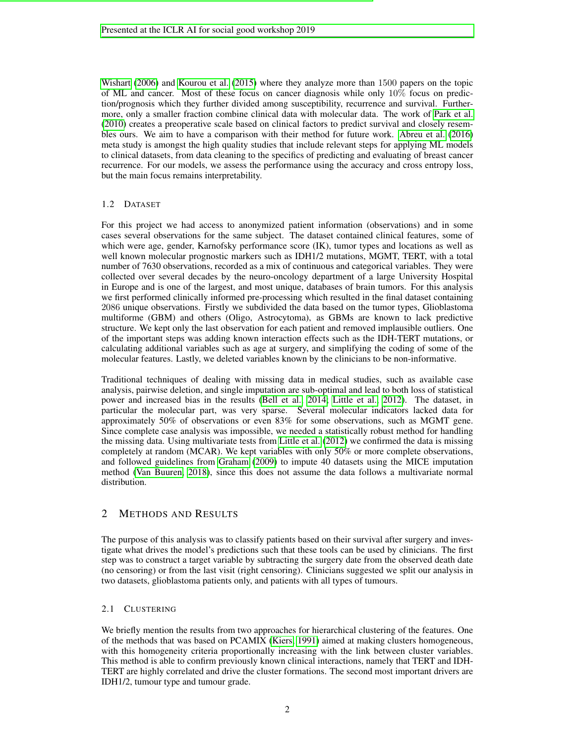[Wishart](#page-4-7) [\(2006\)](#page-4-7) and [Kourou et al.](#page-4-8) [\(2015\)](#page-4-8) where they analyze more than 1500 papers on the topic of ML and cancer. Most of these focus on cancer diagnosis while only 10% focus on prediction/prognosis which they further divided among susceptibility, recurrence and survival. Furthermore, only a smaller fraction combine clinical data with molecular data. The work of [Park et al.](#page-5-1) [\(2010\)](#page-5-1) creates a preoperative scale based on clinical factors to predict survival and closely resembles ours. We aim to have a comparison with their method for future work. [Abreu et al.](#page-4-9) [\(2016\)](#page-4-9) meta study is amongst the high quality studies that include relevant steps for applying ML models to clinical datasets, from data cleaning to the specifics of predicting and evaluating of breast cancer recurrence. For our models, we assess the performance using the accuracy and cross entropy loss, but the main focus remains interpretability.

## 1.2 DATASET

For this project we had access to anonymized patient information (observations) and in some cases several observations for the same subject. The dataset contained clinical features, some of which were age, gender, Karnofsky performance score (IK), tumor types and locations as well as well known molecular prognostic markers such as IDH1/2 mutations, MGMT, TERT, with a total number of 7630 observations, recorded as a mix of continuous and categorical variables. They were collected over several decades by the neuro-oncology department of a large University Hospital in Europe and is one of the largest, and most unique, databases of brain tumors. For this analysis we first performed clinically informed pre-processing which resulted in the final dataset containing 2086 unique observations. Firstly we subdivided the data based on the tumor types, Glioblastoma multiforme (GBM) and others (Oligo, Astrocytoma), as GBMs are known to lack predictive structure. We kept only the last observation for each patient and removed implausible outliers. One of the important steps was adding known interaction effects such as the IDH-TERT mutations, or calculating additional variables such as age at surgery, and simplifying the coding of some of the molecular features. Lastly, we deleted variables known by the clinicians to be non-informative.

Traditional techniques of dealing with missing data in medical studies, such as available case analysis, pairwise deletion, and single imputation are sub-optimal and lead to both loss of statistical power and increased bias in the results [\(Bell et al., 2014;](#page-4-10) [Little et al., 2012\)](#page-4-11). The dataset, in particular the molecular part, was very sparse. Several molecular indicators lacked data for approximately 50% of observations or even 83% for some observations, such as MGMT gene. Since complete case analysis was impossible, we needed a statistically robust method for handling the missing data. Using multivariate tests from [Little et al.](#page-4-11) [\(2012\)](#page-4-11) we confirmed the data is missing completely at random (MCAR). We kept variables with only 50% or more complete observations, and followed guidelines from [Graham](#page-4-12) [\(2009\)](#page-4-12) to impute 40 datasets using the MICE imputation method [\(Van Buuren, 2018\)](#page-5-2), since this does not assume the data follows a multivariate normal distribution.

## 2 METHODS AND RESULTS

The purpose of this analysis was to classify patients based on their survival after surgery and investigate what drives the model's predictions such that these tools can be used by clinicians. The first step was to construct a target variable by subtracting the surgery date from the observed death date (no censoring) or from the last visit (right censoring). Clinicians suggested we split our analysis in two datasets, glioblastoma patients only, and patients with all types of tumours.

## 2.1 CLUSTERING

We briefly mention the results from two approaches for hierarchical clustering of the features. One of the methods that was based on PCAMIX [\(Kiers, 1991\)](#page-4-13) aimed at making clusters homogeneous, with this homogeneity criteria proportionally increasing with the link between cluster variables. This method is able to confirm previously known clinical interactions, namely that TERT and IDH-TERT are highly correlated and drive the cluster formations. The second most important drivers are IDH1/2, tumour type and tumour grade.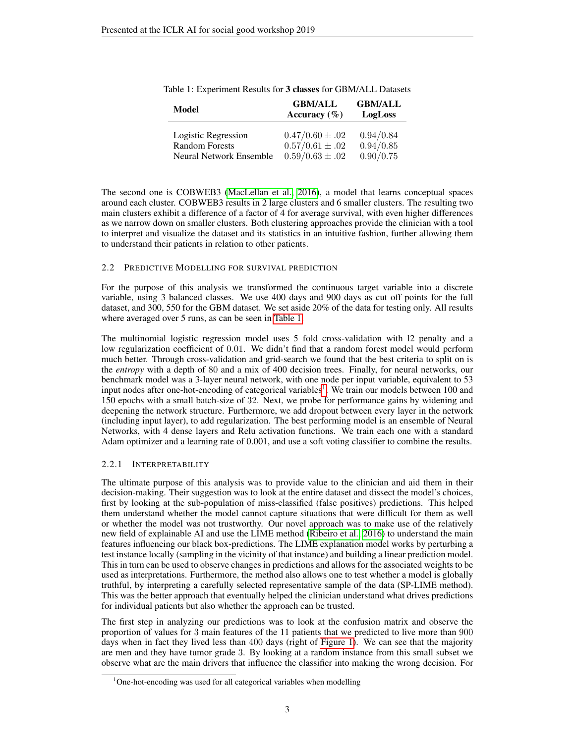| Model                   | <b>GBM/ALL</b>      | <b>GBM/ALL</b> |  |
|-------------------------|---------------------|----------------|--|
|                         | Accuracy $(\% )$    | LogLoss        |  |
| Logistic Regression     | $0.47/0.60 \pm .02$ | 0.94/0.84      |  |
| <b>Random Forests</b>   | $0.57/0.61 \pm .02$ | 0.94/0.85      |  |
| Neural Network Ensemble | $0.59/0.63 \pm .02$ | 0.90/0.75      |  |

<span id="page-2-0"></span>

|  |  |  |  |  | Table 1: Experiment Results for 3 classes for GBM/ALL Datasets |  |
|--|--|--|--|--|----------------------------------------------------------------|--|
|--|--|--|--|--|----------------------------------------------------------------|--|

The second one is COBWEB3 [\(MacLellan et al., 2016\)](#page-4-14), a model that learns conceptual spaces around each cluster. COBWEB3 results in 2 large clusters and 6 smaller clusters. The resulting two main clusters exhibit a difference of a factor of 4 for average survival, with even higher differences as we narrow down on smaller clusters. Both clustering approaches provide the clinician with a tool to interpret and visualize the dataset and its statistics in an intuitive fashion, further allowing them to understand their patients in relation to other patients.

#### 2.2 PREDICTIVE MODELLING FOR SURVIVAL PREDICTION

For the purpose of this analysis we transformed the continuous target variable into a discrete variable, using 3 balanced classes. We use 400 days and 900 days as cut off points for the full dataset, and 300, 550 for the GBM dataset. We set aside 20% of the data for testing only. All results where averaged over 5 runs, as can be seen in [Table 1.](#page-2-0)

The multinomial logistic regression model uses 5 fold cross-validation with l2 penalty and a low regularization coefficient of 0.01. We didn't find that a random forest model would perform much better. Through cross-validation and grid-search we found that the best criteria to split on is the *entropy* with a depth of 80 and a mix of 400 decision trees. Finally, for neural networks, our benchmark model was a 3-layer neural network, with one node per input variable, equivalent to 53 input nodes after one-hot-encoding of categorical variables<sup>[1](#page-2-1)</sup>. We train our models between 100 and 150 epochs with a small batch-size of 32. Next, we probe for performance gains by widening and deepening the network structure. Furthermore, we add dropout between every layer in the network (including input layer), to add regularization. The best performing model is an ensemble of Neural Networks, with 4 dense layers and Relu activation functions. We train each one with a standard Adam optimizer and a learning rate of 0.001, and use a soft voting classifier to combine the results.

### 2.2.1 INTERPRETABILITY

The ultimate purpose of this analysis was to provide value to the clinician and aid them in their decision-making. Their suggestion was to look at the entire dataset and dissect the model's choices, first by looking at the sub-population of miss-classified (false positives) predictions. This helped them understand whether the model cannot capture situations that were difficult for them as well or whether the model was not trustworthy. Our novel approach was to make use of the relatively new field of explainable AI and use the LIME method [\(Ribeiro et al., 2016\)](#page-5-0) to understand the main features influencing our black box-predictions. The LIME explanation model works by perturbing a test instance locally (sampling in the vicinity of that instance) and building a linear prediction model. This in turn can be used to observe changes in predictions and allows for the associated weights to be used as interpretations. Furthermore, the method also allows one to test whether a model is globally truthful, by interpreting a carefully selected representative sample of the data (SP-LIME method). This was the better approach that eventually helped the clinician understand what drives predictions for individual patients but also whether the approach can be trusted.

The first step in analyzing our predictions was to look at the confusion matrix and observe the proportion of values for 3 main features of the 11 patients that we predicted to live more than 900 days when in fact they lived less than 400 days (right of [Figure 1\)](#page-3-0). We can see that the majority are men and they have tumor grade 3. By looking at a random instance from this small subset we observe what are the main drivers that influence the classifier into making the wrong decision. For

<span id="page-2-1"></span> $1$ One-hot-encoding was used for all categorical variables when modelling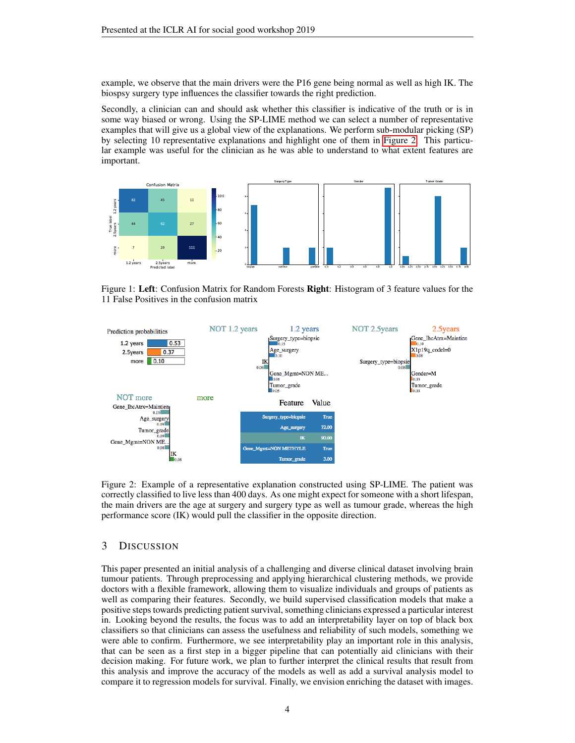example, we observe that the main drivers were the P16 gene being normal as well as high IK. The biospsy surgery type influences the classifier towards the right prediction.

Secondly, a clinician can and should ask whether this classifier is indicative of the truth or is in some way biased or wrong. Using the SP-LIME method we can select a number of representative examples that will give us a global view of the explanations. We perform sub-modular picking (SP) by selecting 10 representative explanations and highlight one of them in [Figure 2.](#page-3-1) This particular example was useful for the clinician as he was able to understand to what extent features are important.



<span id="page-3-0"></span>Figure 1: Left: Confusion Matrix for Random Forests Right: Histogram of 3 feature values for the 11 False Positives in the confusion matrix



<span id="page-3-1"></span>Figure 2: Example of a representative explanation constructed using SP-LIME. The patient was correctly classified to live less than 400 days. As one might expect for someone with a short lifespan, the main drivers are the age at surgery and surgery type as well as tumour grade, whereas the high performance score (IK) would pull the classifier in the opposite direction.

## 3 DISCUSSION

This paper presented an initial analysis of a challenging and diverse clinical dataset involving brain tumour patients. Through preprocessing and applying hierarchical clustering methods, we provide doctors with a flexible framework, allowing them to visualize individuals and groups of patients as well as comparing their features. Secondly, we build supervised classification models that make a positive steps towards predicting patient survival, something clinicians expressed a particular interest in. Looking beyond the results, the focus was to add an interpretability layer on top of black box classifiers so that clinicians can assess the usefulness and reliability of such models, something we were able to confirm. Furthermore, we see interpretability play an important role in this analysis, that can be seen as a first step in a bigger pipeline that can potentially aid clinicians with their decision making. For future work, we plan to further interpret the clinical results that result from this analysis and improve the accuracy of the models as well as add a survival analysis model to compare it to regression models for survival. Finally, we envision enriching the dataset with images.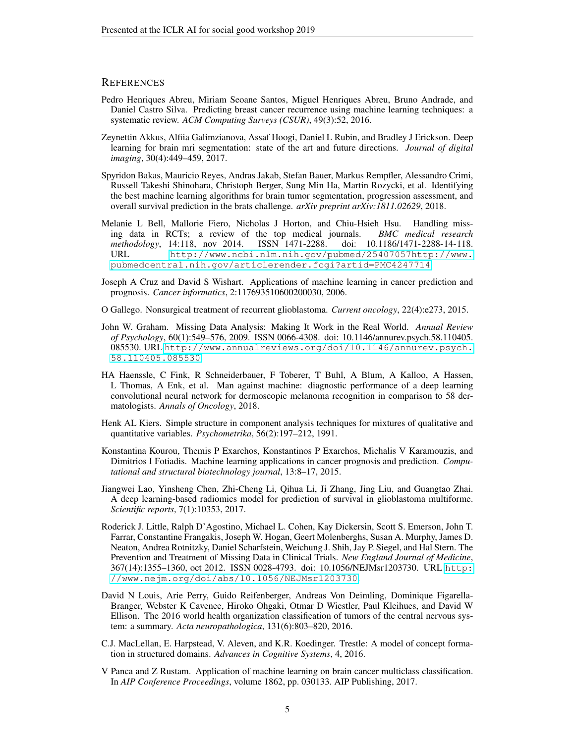### **REFERENCES**

- <span id="page-4-9"></span>Pedro Henriques Abreu, Miriam Seoane Santos, Miguel Henriques Abreu, Bruno Andrade, and Daniel Castro Silva. Predicting breast cancer recurrence using machine learning techniques: a systematic review. *ACM Computing Surveys (CSUR)*, 49(3):52, 2016.
- <span id="page-4-4"></span>Zeynettin Akkus, Alfiia Galimzianova, Assaf Hoogi, Daniel L Rubin, and Bradley J Erickson. Deep learning for brain mri segmentation: state of the art and future directions. *Journal of digital imaging*, 30(4):449–459, 2017.
- <span id="page-4-1"></span>Spyridon Bakas, Mauricio Reyes, Andras Jakab, Stefan Bauer, Markus Rempfler, Alessandro Crimi, Russell Takeshi Shinohara, Christoph Berger, Sung Min Ha, Martin Rozycki, et al. Identifying the best machine learning algorithms for brain tumor segmentation, progression assessment, and overall survival prediction in the brats challenge. *arXiv preprint arXiv:1811.02629*, 2018.
- <span id="page-4-10"></span>Melanie L Bell, Mallorie Fiero, Nicholas J Horton, and Chiu-Hsieh Hsu. Handling missing data in RCTs; a review of the top medical journals. *BMC medical research methodology*, 14:118, nov 2014. ISSN 1471-2288. doi: 10.1186/1471-2288-14-118. URL [http://www.ncbi.nlm.nih.gov/pubmed/25407057http://www.](http://www.ncbi.nlm.nih.gov/pubmed/25407057 http://www.pubmedcentral.nih.gov/articlerender.fcgi?artid=PMC4247714) [pubmedcentral.nih.gov/articlerender.fcgi?artid=PMC4247714](http://www.ncbi.nlm.nih.gov/pubmed/25407057 http://www.pubmedcentral.nih.gov/articlerender.fcgi?artid=PMC4247714).
- <span id="page-4-7"></span>Joseph A Cruz and David S Wishart. Applications of machine learning in cancer prediction and prognosis. *Cancer informatics*, 2:117693510600200030, 2006.
- <span id="page-4-3"></span>O Gallego. Nonsurgical treatment of recurrent glioblastoma. *Current oncology*, 22(4):e273, 2015.
- <span id="page-4-12"></span>John W. Graham. Missing Data Analysis: Making It Work in the Real World. *Annual Review of Psychology*, 60(1):549–576, 2009. ISSN 0066-4308. doi: 10.1146/annurev.psych.58.110405. 085530. URL [http://www.annualreviews.org/doi/10.1146/annurev.psych.](http://www.annualreviews.org/doi/10.1146/annurev.psych.58.110405.085530) [58.110405.085530](http://www.annualreviews.org/doi/10.1146/annurev.psych.58.110405.085530).
- <span id="page-4-0"></span>HA Haenssle, C Fink, R Schneiderbauer, F Toberer, T Buhl, A Blum, A Kalloo, A Hassen, L Thomas, A Enk, et al. Man against machine: diagnostic performance of a deep learning convolutional neural network for dermoscopic melanoma recognition in comparison to 58 dermatologists. *Annals of Oncology*, 2018.
- <span id="page-4-13"></span>Henk AL Kiers. Simple structure in component analysis techniques for mixtures of qualitative and quantitative variables. *Psychometrika*, 56(2):197–212, 1991.
- <span id="page-4-8"></span>Konstantina Kourou, Themis P Exarchos, Konstantinos P Exarchos, Michalis V Karamouzis, and Dimitrios I Fotiadis. Machine learning applications in cancer prognosis and prediction. *Computational and structural biotechnology journal*, 13:8–17, 2015.
- <span id="page-4-5"></span>Jiangwei Lao, Yinsheng Chen, Zhi-Cheng Li, Qihua Li, Ji Zhang, Jing Liu, and Guangtao Zhai. A deep learning-based radiomics model for prediction of survival in glioblastoma multiforme. *Scientific reports*, 7(1):10353, 2017.
- <span id="page-4-11"></span>Roderick J. Little, Ralph D'Agostino, Michael L. Cohen, Kay Dickersin, Scott S. Emerson, John T. Farrar, Constantine Frangakis, Joseph W. Hogan, Geert Molenberghs, Susan A. Murphy, James D. Neaton, Andrea Rotnitzky, Daniel Scharfstein, Weichung J. Shih, Jay P. Siegel, and Hal Stern. The Prevention and Treatment of Missing Data in Clinical Trials. *New England Journal of Medicine*, 367(14):1355–1360, oct 2012. ISSN 0028-4793. doi: 10.1056/NEJMsr1203730. URL [http:](http://www.nejm.org/doi/abs/10.1056/NEJMsr1203730) [//www.nejm.org/doi/abs/10.1056/NEJMsr1203730](http://www.nejm.org/doi/abs/10.1056/NEJMsr1203730).
- <span id="page-4-2"></span>David N Louis, Arie Perry, Guido Reifenberger, Andreas Von Deimling, Dominique Figarella-Branger, Webster K Cavenee, Hiroko Ohgaki, Otmar D Wiestler, Paul Kleihues, and David W Ellison. The 2016 world health organization classification of tumors of the central nervous system: a summary. *Acta neuropathologica*, 131(6):803–820, 2016.
- <span id="page-4-14"></span>C.J. MacLellan, E. Harpstead, V. Aleven, and K.R. Koedinger. Trestle: A model of concept formation in structured domains. *Advances in Cognitive Systems*, 4, 2016.
- <span id="page-4-6"></span>V Panca and Z Rustam. Application of machine learning on brain cancer multiclass classification. In *AIP Conference Proceedings*, volume 1862, pp. 030133. AIP Publishing, 2017.